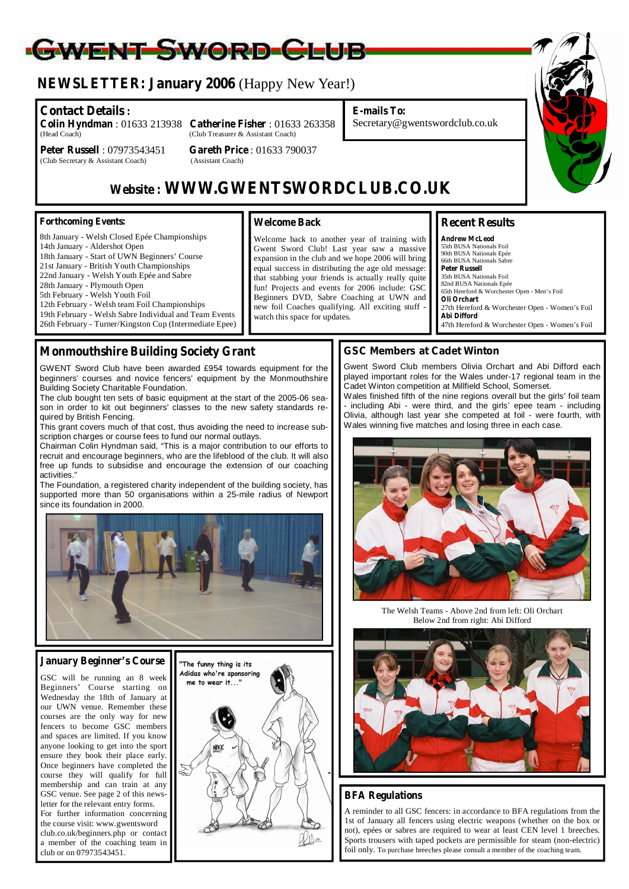# ·GWENT-SWORD-GEED

## **NEWSLETTER: January 2006** (Happy New Year!)

**Contact Details :**

**Colin Hyndman** : 01633 213938 **Catherine Fisher** : 01633 263358

(Club Secretary & Assistant Coach)

(Club Treasurer & Assistant Coach)

**Peter Russell** : 07973543451 **Gareth Price** : 01633 790037

## **Website : WWW.GWENTSWORDCLUB.CO.UK**

#### **Forthcoming Events:**

8th January - Welsh Closed Epée Championships 14th January - Aldershot Open 18th January - Start of UWN Beginners' Course 21st January - British Youth Championships 22nd January - Welsh Youth Epée and Sabre 28th January - Plymouth Open 5th February - Welsh Youth Foil 12th February - Welsh team Foil Championships 19th February - Welsh Sabre Individual and Team Events 26th February - Turner/Kingston Cup (Intermediate Epee)

#### **Welcome Back**

Welcome back to another year of training with Gwent Sword Club! Last year saw a massive expansion in the club and we hope 2006 will bring equal success in distributing the age old message: that stabbing your friends is actually really quite fun! Projects and events for 2006 include: GSC Beginners DVD, Sabre Coaching at UWN and new foil Coaches qualifying. All exciting stuff watch this space for updates.

**E-mails To:**

Secretary@gwentswordclub.co.uk

## **Recent Results**

**Andrew McLeod** 55th BUSA Nationals Foil 90th BUSA Nationals Epée 66th BUSA Nationals Sabre **Peter Russell** 35th BUSA Nationals Foil 82nd BUSA Nationals Epée 65th Hereford & Worchester Open - Men's Foil **Oli Orchart** 27th Hereford & Worchester Open - Women's Foil **Abi Difford** 47th Hereford & Worchester Open - Women's Foil

## **Monmouthshire Building Society Grant**

GWENT Sword Club have been awarded £954 towards equipment for the beginners' courses and novice fencers' equipment by the Monmouthshire Building Society Charitable Foundation.

The club bought ten sets of basic equipment at the start of the 2005-06 season in order to kit out beginners' classes to the new safety standards required by British Fencing.

This grant covers much of that cost, thus avoiding the need to increase subscription charges or course fees to fund our normal outlays.

Chairman Colin Hyndman said, "This is a major contribution to our efforts to recruit and encourage beginners, who are the lifeblood of the club. It will also free up funds to subsidise and encourage the extension of our coaching activities."

The Foundation, a registered charity independent of the building society, has supported more than 50 organisations within a 25-mile radius of Newport since its foundation in 2000.



#### **January Beginner's Course**

GSC will be running an 8 week Beginners' Course starting on Wednesday the 18th of January at our UWN venue. Remember these courses are the only way for new fencers to become GSC members and spaces are limited. If you know anyone looking to get into the sport ensure they book their place early. Once beginners have completed the course they will qualify for full membership and can train at any GSC venue. See page 2 of this newsletter for the relevant entry forms. For further information concerning

the course visit: [www.gwentsword](http://www.gwentsword) club.co.uk/beginners.php or contact a member of the coaching team in club or on [07973543451.](http://www.pdfdesk.com)



## **GSC Members at Cadet Winton**

Gwent Sword Club members Olivia Orchart and Abi Difford each played important roles for the Wales under-17 regional team in the Cadet Winton competition at Millfield School, Somerset.

Wales finished fifth of the nine regions overall but the girls' foil team including Abi - were third, and the girls' epee team - including Olivia, although last year she competed at foil - were fourth, with Wales winning five matches and losing three in each case.



The Welsh Teams - Above 2nd from left: Oli Orchart Below 2nd from right: Abi Difford



## **BFA Regulations**

A reminder to all GSC fencers: in accordance to BFA regulations from the 1st of January all fencers using electric weapons (whether on the box or not), epées or sabres are required to wear at least CEN level 1 breeches. Sports trousers with taped pockets are permissible for steam (non-electric) foil only. To purchase breeches please consult a member of the coaching team.